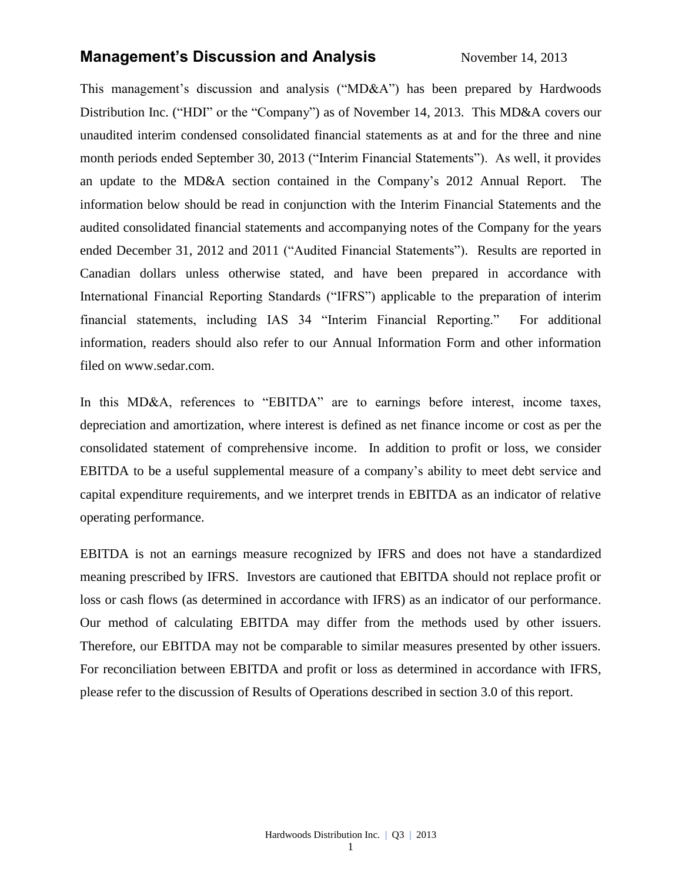## **Management's Discussion and Analysis** November 14, 2013

This management's discussion and analysis ("MD&A") has been prepared by Hardwoods Distribution Inc. ("HDI" or the "Company") as of November 14, 2013. This MD&A covers our unaudited interim condensed consolidated financial statements as at and for the three and nine month periods ended September 30, 2013 ("Interim Financial Statements"). As well, it provides an update to the MD&A section contained in the Company's 2012 Annual Report. The information below should be read in conjunction with the Interim Financial Statements and the audited consolidated financial statements and accompanying notes of the Company for the years ended December 31, 2012 and 2011 ("Audited Financial Statements"). Results are reported in Canadian dollars unless otherwise stated, and have been prepared in accordance with International Financial Reporting Standards ("IFRS") applicable to the preparation of interim financial statements, including IAS 34 "Interim Financial Reporting." For additional information, readers should also refer to our Annual Information Form and other information filed on [www.sedar.com.](http://www.sedar.com/)

In this MD&A, references to "EBITDA" are to earnings before interest, income taxes, depreciation and amortization, where interest is defined as net finance income or cost as per the consolidated statement of comprehensive income. In addition to profit or loss, we consider EBITDA to be a useful supplemental measure of a company's ability to meet debt service and capital expenditure requirements, and we interpret trends in EBITDA as an indicator of relative operating performance.

EBITDA is not an earnings measure recognized by IFRS and does not have a standardized meaning prescribed by IFRS. Investors are cautioned that EBITDA should not replace profit or loss or cash flows (as determined in accordance with IFRS) as an indicator of our performance. Our method of calculating EBITDA may differ from the methods used by other issuers. Therefore, our EBITDA may not be comparable to similar measures presented by other issuers. For reconciliation between EBITDA and profit or loss as determined in accordance with IFRS, please refer to the discussion of Results of Operations described in section 3.0 of this report.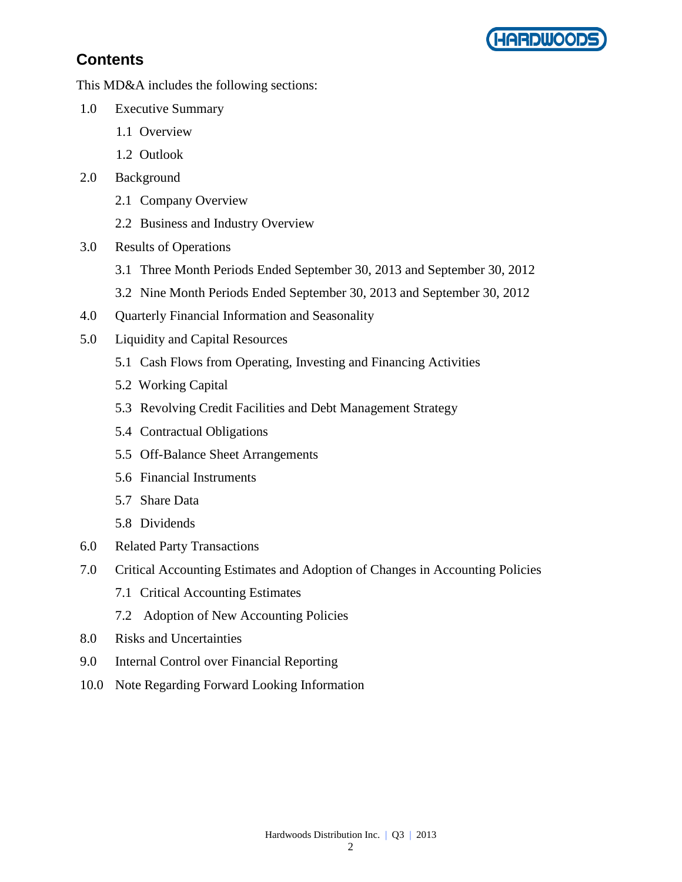

# **Contents**

This MD&A includes the following sections:

- 1.0 Executive Summary
	- 1.1 Overview
	- 1.2 Outlook
- 2.0 Background
	- 2.1 Company Overview
	- 2.2 Business and Industry Overview
- 3.0 Results of Operations
	- 3.1 Three Month Periods Ended September 30, 2013 and September 30, 2012
	- 3.2 Nine Month Periods Ended September 30, 2013 and September 30, 2012
- 4.0 Quarterly Financial Information and Seasonality
- 5.0 Liquidity and Capital Resources
	- 5.1 Cash Flows from Operating, Investing and Financing Activities
	- 5.2 Working Capital
	- 5.3 Revolving Credit Facilities and Debt Management Strategy
	- 5.4 Contractual Obligations
	- 5.5 Off-Balance Sheet Arrangements
	- 5.6 Financial Instruments
	- 5.7 Share Data
	- 5.8 Dividends
- 6.0 Related Party Transactions
- 7.0 Critical Accounting Estimates and Adoption of Changes in Accounting Policies
	- 7.1 Critical Accounting Estimates
	- 7.2 Adoption of New Accounting Policies
- 8.0 Risks and Uncertainties
- 9.0 Internal Control over Financial Reporting
- 10.0 Note Regarding Forward Looking Information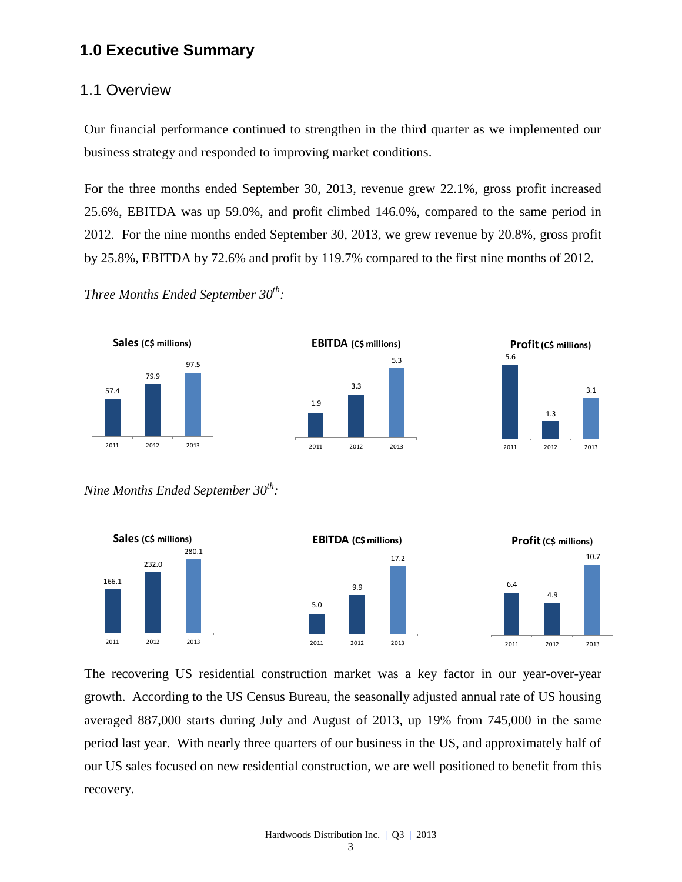# **1.0 Executive Summary**

### 1.1 Overview

Our financial performance continued to strengthen in the third quarter as we implemented our business strategy and responded to improving market conditions.

For the three months ended September 30, 2013, revenue grew 22.1%, gross profit increased 25.6%, EBITDA was up 59.0%, and profit climbed 146.0%, compared to the same period in 2012. For the nine months ended September 30, 2013, we grew revenue by 20.8%, gross profit by 25.8%, EBITDA by 72.6% and profit by 119.7% compared to the first nine months of 2012.

*Three Months Ended September 30th :*







*Nine Months Ended September 30th :*



The recovering US residential construction market was a key factor in our year-over-year growth. According to the US Census Bureau, the seasonally adjusted annual rate of US housing averaged 887,000 starts during July and August of 2013, up 19% from 745,000 in the same period last year. With nearly three quarters of our business in the US, and approximately half of our US sales focused on new residential construction, we are well positioned to benefit from this recovery.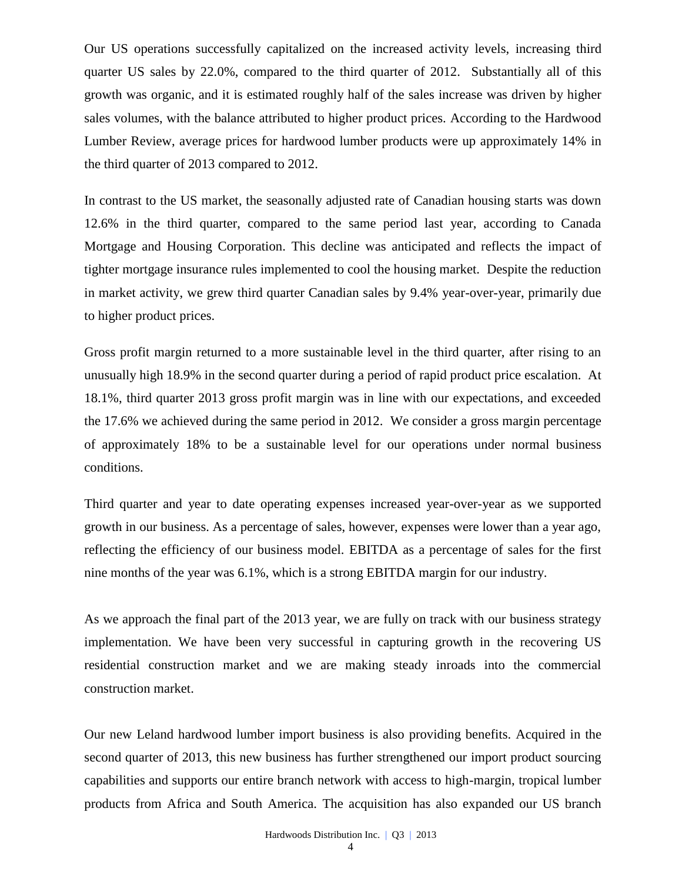Our US operations successfully capitalized on the increased activity levels, increasing third quarter US sales by 22.0%, compared to the third quarter of 2012. Substantially all of this growth was organic, and it is estimated roughly half of the sales increase was driven by higher sales volumes, with the balance attributed to higher product prices. According to the Hardwood Lumber Review, average prices for hardwood lumber products were up approximately 14% in the third quarter of 2013 compared to 2012.

In contrast to the US market, the seasonally adjusted rate of Canadian housing starts was down 12.6% in the third quarter, compared to the same period last year, according to Canada Mortgage and Housing Corporation. This decline was anticipated and reflects the impact of tighter mortgage insurance rules implemented to cool the housing market. Despite the reduction in market activity, we grew third quarter Canadian sales by 9.4% year-over-year, primarily due to higher product prices.

Gross profit margin returned to a more sustainable level in the third quarter, after rising to an unusually high 18.9% in the second quarter during a period of rapid product price escalation. At 18.1%, third quarter 2013 gross profit margin was in line with our expectations, and exceeded the 17.6% we achieved during the same period in 2012. We consider a gross margin percentage of approximately 18% to be a sustainable level for our operations under normal business conditions.

Third quarter and year to date operating expenses increased year-over-year as we supported growth in our business. As a percentage of sales, however, expenses were lower than a year ago, reflecting the efficiency of our business model. EBITDA as a percentage of sales for the first nine months of the year was 6.1%, which is a strong EBITDA margin for our industry.

As we approach the final part of the 2013 year, we are fully on track with our business strategy implementation. We have been very successful in capturing growth in the recovering US residential construction market and we are making steady inroads into the commercial construction market.

Our new Leland hardwood lumber import business is also providing benefits. Acquired in the second quarter of 2013, this new business has further strengthened our import product sourcing capabilities and supports our entire branch network with access to high-margin, tropical lumber products from Africa and South America. The acquisition has also expanded our US branch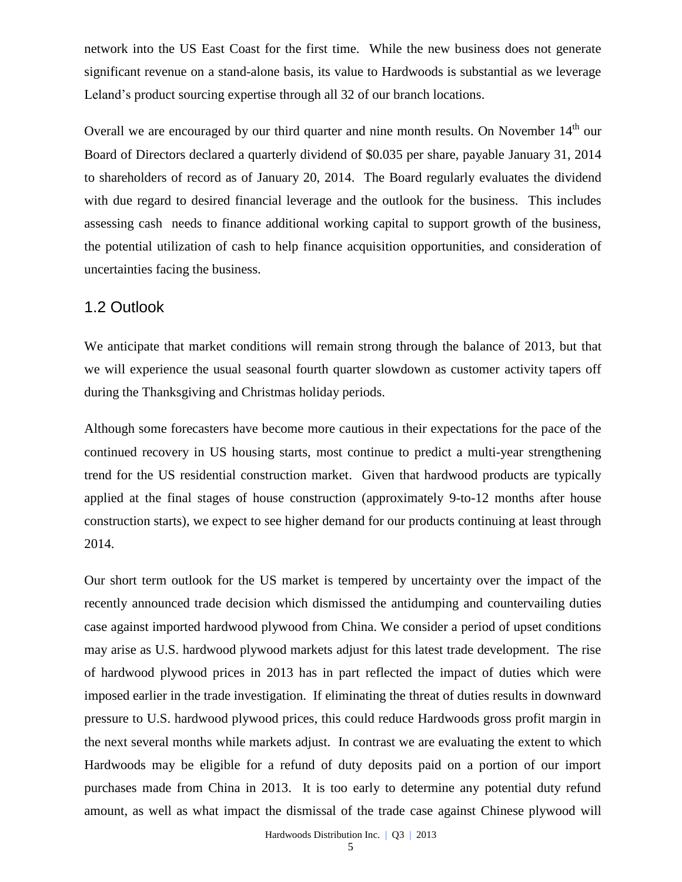network into the US East Coast for the first time. While the new business does not generate significant revenue on a stand-alone basis, its value to Hardwoods is substantial as we leverage Leland's product sourcing expertise through all 32 of our branch locations.

Overall we are encouraged by our third quarter and nine month results. On November 14<sup>th</sup> our Board of Directors declared a quarterly dividend of \$0.035 per share, payable January 31, 2014 to shareholders of record as of January 20, 2014. The Board regularly evaluates the dividend with due regard to desired financial leverage and the outlook for the business. This includes assessing cash needs to finance additional working capital to support growth of the business, the potential utilization of cash to help finance acquisition opportunities, and consideration of uncertainties facing the business.

### 1.2 Outlook

We anticipate that market conditions will remain strong through the balance of 2013, but that we will experience the usual seasonal fourth quarter slowdown as customer activity tapers off during the Thanksgiving and Christmas holiday periods.

Although some forecasters have become more cautious in their expectations for the pace of the continued recovery in US housing starts, most continue to predict a multi-year strengthening trend for the US residential construction market. Given that hardwood products are typically applied at the final stages of house construction (approximately 9-to-12 months after house construction starts), we expect to see higher demand for our products continuing at least through 2014.

Our short term outlook for the US market is tempered by uncertainty over the impact of the recently announced trade decision which dismissed the antidumping and countervailing duties case against imported hardwood plywood from China. We consider a period of upset conditions may arise as U.S. hardwood plywood markets adjust for this latest trade development. The rise of hardwood plywood prices in 2013 has in part reflected the impact of duties which were imposed earlier in the trade investigation. If eliminating the threat of duties results in downward pressure to U.S. hardwood plywood prices, this could reduce Hardwoods gross profit margin in the next several months while markets adjust. In contrast we are evaluating the extent to which Hardwoods may be eligible for a refund of duty deposits paid on a portion of our import purchases made from China in 2013. It is too early to determine any potential duty refund amount, as well as what impact the dismissal of the trade case against Chinese plywood will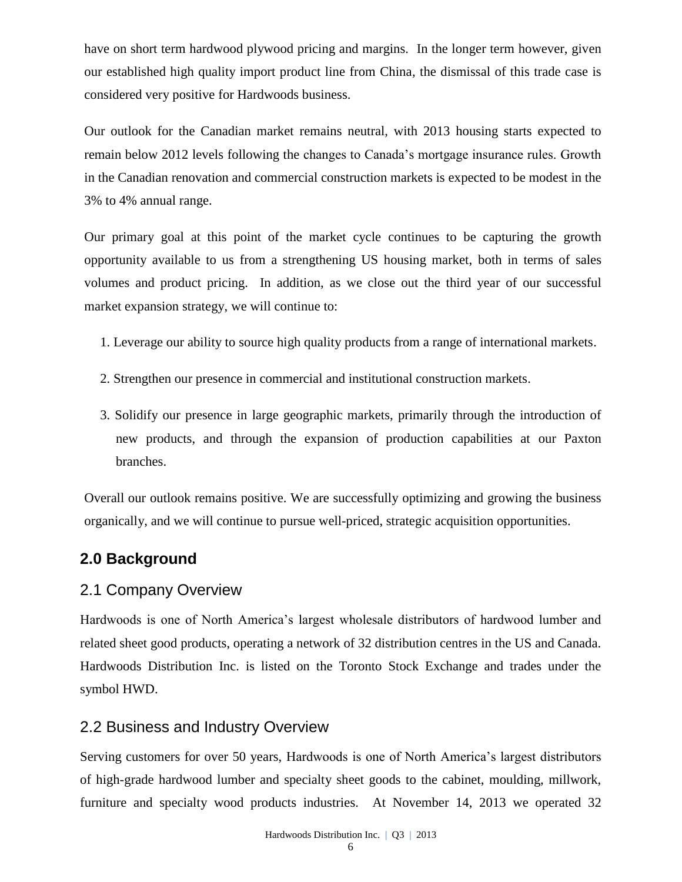have on short term hardwood plywood pricing and margins. In the longer term however, given our established high quality import product line from China, the dismissal of this trade case is considered very positive for Hardwoods business.

Our outlook for the Canadian market remains neutral, with 2013 housing starts expected to remain below 2012 levels following the changes to Canada's mortgage insurance rules. Growth in the Canadian renovation and commercial construction markets is expected to be modest in the 3% to 4% annual range.

Our primary goal at this point of the market cycle continues to be capturing the growth opportunity available to us from a strengthening US housing market, both in terms of sales volumes and product pricing. In addition, as we close out the third year of our successful market expansion strategy, we will continue to:

- 1. Leverage our ability to source high quality products from a range of international markets.
- 2. Strengthen our presence in commercial and institutional construction markets.
- 3. Solidify our presence in large geographic markets, primarily through the introduction of new products, and through the expansion of production capabilities at our Paxton branches.

Overall our outlook remains positive. We are successfully optimizing and growing the business organically, and we will continue to pursue well-priced, strategic acquisition opportunities.

# **2.0 Background**

## 2.1 Company Overview

Hardwoods is one of North America's largest wholesale distributors of hardwood lumber and related sheet good products, operating a network of 32 distribution centres in the US and Canada. Hardwoods Distribution Inc. is listed on the [Toronto Stock Exchange and trades under the](http://tmx.quotemedia.com/quote.php?qm_symbol=TPK&locale=EN)  [symbol](http://tmx.quotemedia.com/quote.php?qm_symbol=TPK&locale=EN) HWD.

## 2.2 Business and Industry Overview

Serving customers for over 50 years, Hardwoods is one of North America's largest distributors of high-grade hardwood lumber and specialty sheet goods to the cabinet, moulding, millwork, furniture and specialty wood products industries. At November 14, 2013 we operated 32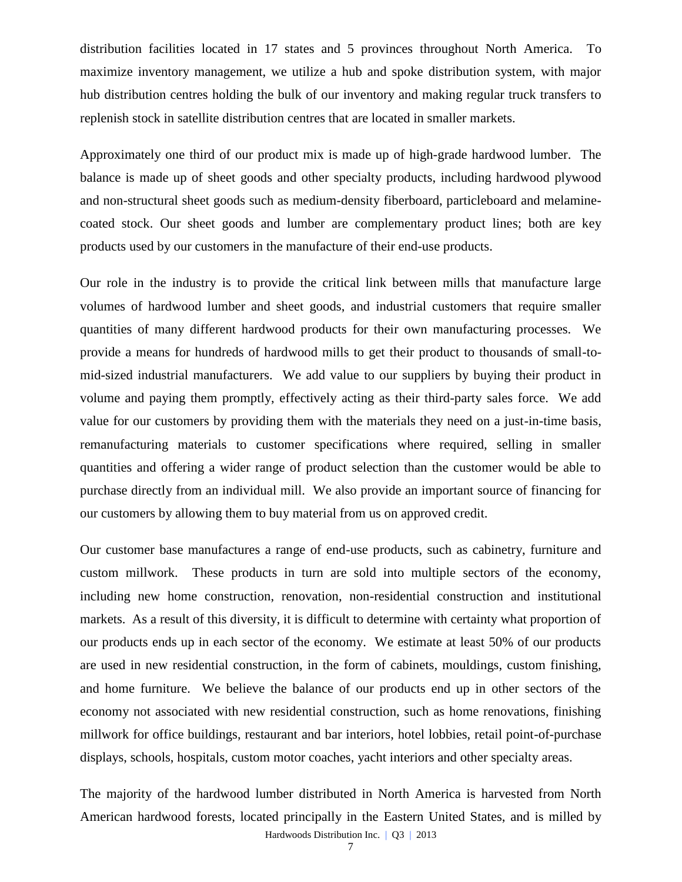distribution facilities located in 17 states and 5 provinces throughout North America. To maximize inventory management, we utilize a hub and spoke distribution system, with major hub distribution centres holding the bulk of our inventory and making regular truck transfers to replenish stock in satellite distribution centres that are located in smaller markets.

Approximately one third of our product mix is made up of high-grade hardwood lumber. The balance is made up of sheet goods and other specialty products, including hardwood plywood and non-structural sheet goods such as medium-density fiberboard, particleboard and melaminecoated stock. Our sheet goods and lumber are complementary product lines; both are key products used by our customers in the manufacture of their end-use products.

Our role in the industry is to provide the critical link between mills that manufacture large volumes of hardwood lumber and sheet goods, and industrial customers that require smaller quantities of many different hardwood products for their own manufacturing processes. We provide a means for hundreds of hardwood mills to get their product to thousands of small-tomid-sized industrial manufacturers. We add value to our suppliers by buying their product in volume and paying them promptly, effectively acting as their third-party sales force. We add value for our customers by providing them with the materials they need on a just-in-time basis, remanufacturing materials to customer specifications where required, selling in smaller quantities and offering a wider range of product selection than the customer would be able to purchase directly from an individual mill. We also provide an important source of financing for our customers by allowing them to buy material from us on approved credit.

Our customer base manufactures a range of end-use products, such as cabinetry, furniture and custom millwork. These products in turn are sold into multiple sectors of the economy, including new home construction, renovation, non-residential construction and institutional markets. As a result of this diversity, it is difficult to determine with certainty what proportion of our products ends up in each sector of the economy. We estimate at least 50% of our products are used in new residential construction, in the form of cabinets, mouldings, custom finishing, and home furniture. We believe the balance of our products end up in other sectors of the economy not associated with new residential construction, such as home renovations, finishing millwork for office buildings, restaurant and bar interiors, hotel lobbies, retail point-of-purchase displays, schools, hospitals, custom motor coaches, yacht interiors and other specialty areas.

The majority of the hardwood lumber distributed in North America is harvested from North American hardwood forests, located principally in the Eastern United States, and is milled by

Hardwoods Distribution Inc. | Q3 | 2013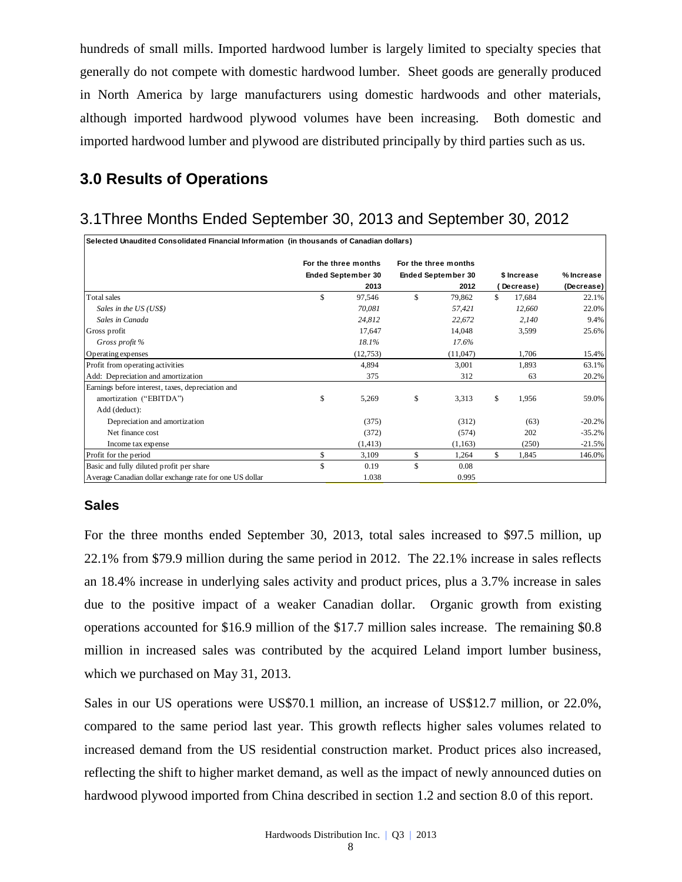hundreds of small mills. Imported hardwood lumber is largely limited to specialty species that generally do not compete with domestic hardwood lumber. Sheet goods are generally produced in North America by large manufacturers using domestic hardwoods and other materials, although imported hardwood plywood volumes have been increasing. Both domestic and imported hardwood lumber and plywood are distributed principally by third parties such as us.

# **3.0 Results of Operations**

# 3.1Three Months Ended September 30, 2013 and September 30, 2012

| Selected Unaudited Consolidated Financial Information (in thousands of Canadian dollars) |                           |                           |              |            |
|------------------------------------------------------------------------------------------|---------------------------|---------------------------|--------------|------------|
|                                                                                          | For the three months      | For the three months      |              |            |
|                                                                                          | <b>Ended September 30</b> | <b>Ended September 30</b> | \$ Increase  | % Increase |
|                                                                                          | 2013                      | 2012                      | Decrease)    | (Decrease) |
| Total sales                                                                              | \$<br>97,546              | \$<br>79,862              | \$<br>17,684 | 22.1%      |
| Sales in the US (US\$)                                                                   | 70.081                    | 57,421                    | 12,660       | 22.0%      |
| Sales in Canada                                                                          | 24.812                    | 22,672                    | 2,140        | 9.4%       |
| Gross profit                                                                             | 17,647                    | 14,048                    | 3,599        | 25.6%      |
| Gross profit %                                                                           | 18.1%                     | 17.6%                     |              |            |
| Operating expenses                                                                       | (12,753)                  | (11,047)                  | 1,706        | 15.4%      |
| Profit from operating activities                                                         | 4,894                     | 3,001                     | 1,893        | 63.1%      |
| Add: Depreciation and amortization                                                       | 375                       | 312                       | 63           | 20.2%      |
| Earnings before interest, taxes, depreciation and                                        |                           |                           |              |            |
| amortization ("EBITDA")                                                                  | \$<br>5,269               | \$<br>3,313               | \$<br>1,956  | 59.0%      |
| Add (deduct):                                                                            |                           |                           |              |            |
| Depreciation and amortization                                                            | (375)                     | (312)                     | (63)         | $-20.2%$   |
| Net finance cost                                                                         | (372)                     | (574)                     | 202          | $-35.2%$   |
| Income tax expense                                                                       | (1, 413)                  | (1, 163)                  | (250)        | $-21.5%$   |
| Profit for the period                                                                    | \$<br>3,109               | \$<br>1,264               | \$<br>1.845  | 146.0%     |
| Basic and fully diluted profit per share                                                 | \$<br>0.19                | \$<br>0.08                |              |            |
| Average Canadian dollar exchange rate for one US dollar                                  | 1.038                     | 0.995                     |              |            |

#### **Sales**

For the three months ended September 30, 2013, total sales increased to \$97.5 million, up 22.1% from \$79.9 million during the same period in 2012. The 22.1% increase in sales reflects an 18.4% increase in underlying sales activity and product prices, plus a 3.7% increase in sales due to the positive impact of a weaker Canadian dollar. Organic growth from existing operations accounted for \$16.9 million of the \$17.7 million sales increase. The remaining \$0.8 million in increased sales was contributed by the acquired Leland import lumber business, which we purchased on May 31, 2013.

Sales in our US operations were US\$70.1 million, an increase of US\$12.7 million, or 22.0%, compared to the same period last year. This growth reflects higher sales volumes related to increased demand from the US residential construction market. Product prices also increased, reflecting the shift to higher market demand, as well as the impact of newly announced duties on hardwood plywood imported from China described in section 1.2 and section 8.0 of this report.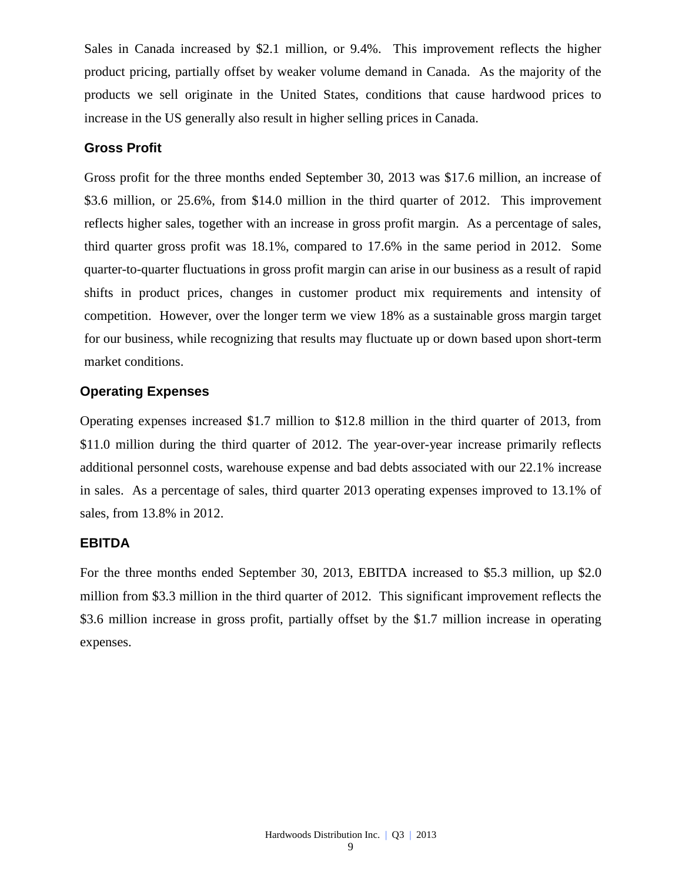Sales in Canada increased by \$2.1 million, or 9.4%. This improvement reflects the higher product pricing, partially offset by weaker volume demand in Canada. As the majority of the products we sell originate in the United States, conditions that cause hardwood prices to increase in the US generally also result in higher selling prices in Canada.

#### **Gross Profit**

Gross profit for the three months ended September 30, 2013 was \$17.6 million, an increase of \$3.6 million, or 25.6%, from \$14.0 million in the third quarter of 2012. This improvement reflects higher sales, together with an increase in gross profit margin. As a percentage of sales, third quarter gross profit was 18.1%, compared to 17.6% in the same period in 2012. Some quarter-to-quarter fluctuations in gross profit margin can arise in our business as a result of rapid shifts in product prices, changes in customer product mix requirements and intensity of competition. However, over the longer term we view 18% as a sustainable gross margin target for our business, while recognizing that results may fluctuate up or down based upon short-term market conditions.

#### **Operating Expenses**

Operating expenses increased \$1.7 million to \$12.8 million in the third quarter of 2013, from \$11.0 million during the third quarter of 2012. The year-over-year increase primarily reflects additional personnel costs, warehouse expense and bad debts associated with our 22.1% increase in sales. As a percentage of sales, third quarter 2013 operating expenses improved to 13.1% of sales, from 13.8% in 2012.

#### **EBITDA**

For the three months ended September 30, 2013, EBITDA increased to \$5.3 million, up \$2.0 million from \$3.3 million in the third quarter of 2012. This significant improvement reflects the \$3.6 million increase in gross profit, partially offset by the \$1.7 million increase in operating expenses.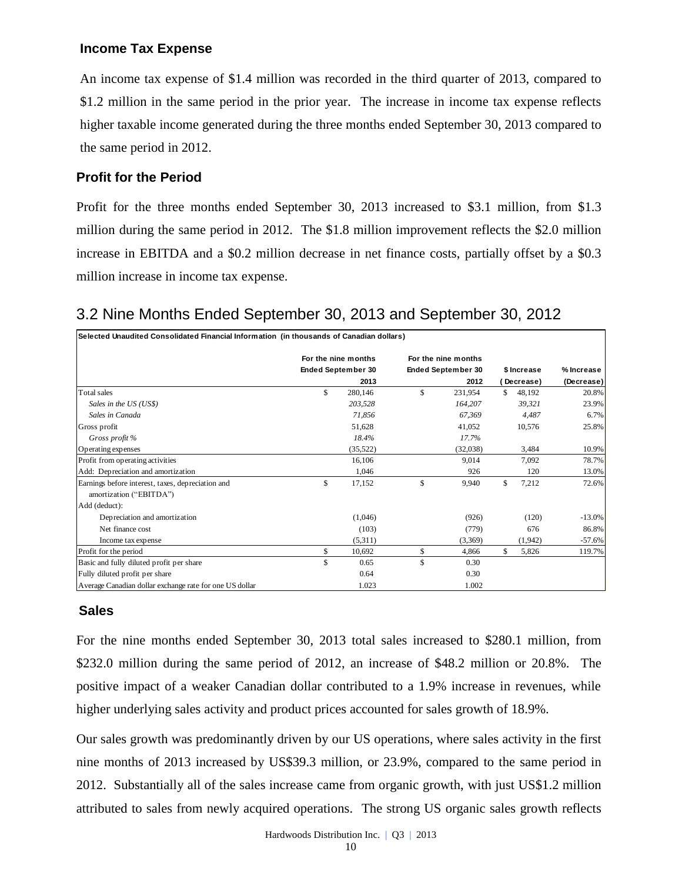## **Income Tax Expense**

An income tax expense of \$1.4 million was recorded in the third quarter of 2013, compared to \$1.2 million in the same period in the prior year. The increase in income tax expense reflects higher taxable income generated during the three months ended September 30, 2013 compared to the same period in 2012.

## **Profit for the Period**

Profit for the three months ended September 30, 2013 increased to \$3.1 million, from \$1.3 million during the same period in 2012. The \$1.8 million improvement reflects the \$2.0 million increase in EBITDA and a \$0.2 million decrease in net finance costs, partially offset by a \$0.3 million increase in income tax expense.

# 3.2 Nine Months Ended September 30, 2013 and September 30, 2012

| Selected Unaudited Consolidated Financial Information (in thousands of Canadian dollars) |                           |     |                           |    |             |            |
|------------------------------------------------------------------------------------------|---------------------------|-----|---------------------------|----|-------------|------------|
|                                                                                          | For the nine months       |     | For the nine months       |    |             |            |
|                                                                                          | <b>Ended September 30</b> |     | <b>Ended September 30</b> |    | \$ Increase | % Increase |
|                                                                                          | 2013                      |     | 2012                      |    | Decrease)   | (Decrease) |
| Total sales                                                                              | \$<br>280,146             | \$. | 231,954                   | S. | 48,192      | 20.8%      |
| Sales in the US (US\$)                                                                   | 203.528                   |     | 164,207                   |    | 39.321      | 23.9%      |
| Sales in Canada                                                                          | 71,856                    |     | 67.369                    |    | 4.487       | 6.7%       |
| Gross profit                                                                             | 51,628                    |     | 41,052                    |    | 10.576      | 25.8%      |
| Gross profit %                                                                           | 18.4%                     |     | 17.7%                     |    |             |            |
| Operating expenses                                                                       | (35, 522)                 |     | (32,038)                  |    | 3,484       | 10.9%      |
| Profit from operating activities                                                         | 16,106                    |     | 9,014                     |    | 7.092       | 78.7%      |
| Add: Depreciation and amortization                                                       | 1.046                     |     | 926                       |    | 120         | 13.0%      |
| Earnings before interest, taxes, depreciation and                                        | \$<br>17,152              | \$  | 9,940                     | \$ | 7,212       | 72.6%      |
| amortization ("EBITDA")                                                                  |                           |     |                           |    |             |            |
| Add (deduct):                                                                            |                           |     |                           |    |             |            |
| Depreciation and amortization                                                            | (1,046)                   |     | (926)                     |    | (120)       | $-13.0%$   |
| Net finance cost                                                                         | (103)                     |     | (779)                     |    | 676         | 86.8%      |
| Income tax expense                                                                       | (5,311)                   |     | (3,369)                   |    | (1,942)     | $-57.6%$   |
| Profit for the period                                                                    | \$<br>10,692              | \$  | 4.866                     | \$ | 5,826       | 119.7%     |
| Basic and fully diluted profit per share                                                 | \$<br>0.65                | \$. | 0.30                      |    |             |            |
| Fully diluted profit per share                                                           | 0.64                      |     | 0.30                      |    |             |            |
| Average Canadian dollar exchange rate for one US dollar                                  | 1.023                     |     | 1.002                     |    |             |            |

## **Sales**

For the nine months ended September 30, 2013 total sales increased to \$280.1 million, from \$232.0 million during the same period of 2012, an increase of \$48.2 million or 20.8%. The positive impact of a weaker Canadian dollar contributed to a 1.9% increase in revenues, while higher underlying sales activity and product prices accounted for sales growth of 18.9%.

Our sales growth was predominantly driven by our US operations, where sales activity in the first nine months of 2013 increased by US\$39.3 million, or 23.9%, compared to the same period in 2012. Substantially all of the sales increase came from organic growth, with just US\$1.2 million attributed to sales from newly acquired operations. The strong US organic sales growth reflects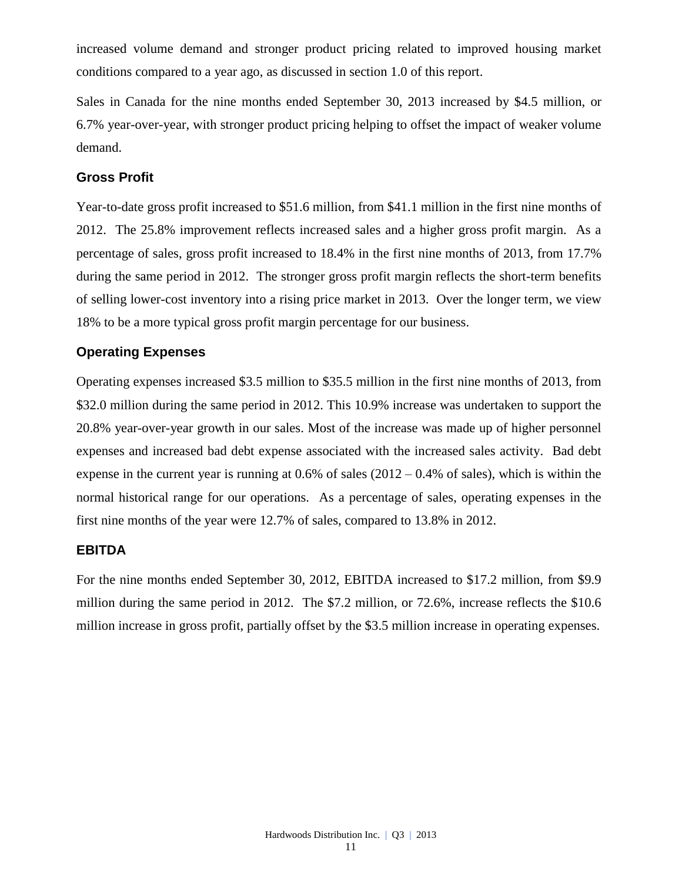increased volume demand and stronger product pricing related to improved housing market conditions compared to a year ago, as discussed in section 1.0 of this report.

Sales in Canada for the nine months ended September 30, 2013 increased by \$4.5 million, or 6.7% year-over-year, with stronger product pricing helping to offset the impact of weaker volume demand.

#### **Gross Profit**

Year-to-date gross profit increased to \$51.6 million, from \$41.1 million in the first nine months of 2012. The 25.8% improvement reflects increased sales and a higher gross profit margin. As a percentage of sales, gross profit increased to 18.4% in the first nine months of 2013, from 17.7% during the same period in 2012. The stronger gross profit margin reflects the short-term benefits of selling lower-cost inventory into a rising price market in 2013. Over the longer term, we view 18% to be a more typical gross profit margin percentage for our business.

#### **Operating Expenses**

Operating expenses increased \$3.5 million to \$35.5 million in the first nine months of 2013, from \$32.0 million during the same period in 2012. This 10.9% increase was undertaken to support the 20.8% year-over-year growth in our sales. Most of the increase was made up of higher personnel expenses and increased bad debt expense associated with the increased sales activity. Bad debt expense in the current year is running at  $0.6\%$  of sales  $(2012 - 0.4\%$  of sales), which is within the normal historical range for our operations. As a percentage of sales, operating expenses in the first nine months of the year were 12.7% of sales, compared to 13.8% in 2012.

#### **EBITDA**

For the nine months ended September 30, 2012, EBITDA increased to \$17.2 million, from \$9.9 million during the same period in 2012. The \$7.2 million, or 72.6%, increase reflects the \$10.6 million increase in gross profit, partially offset by the \$3.5 million increase in operating expenses.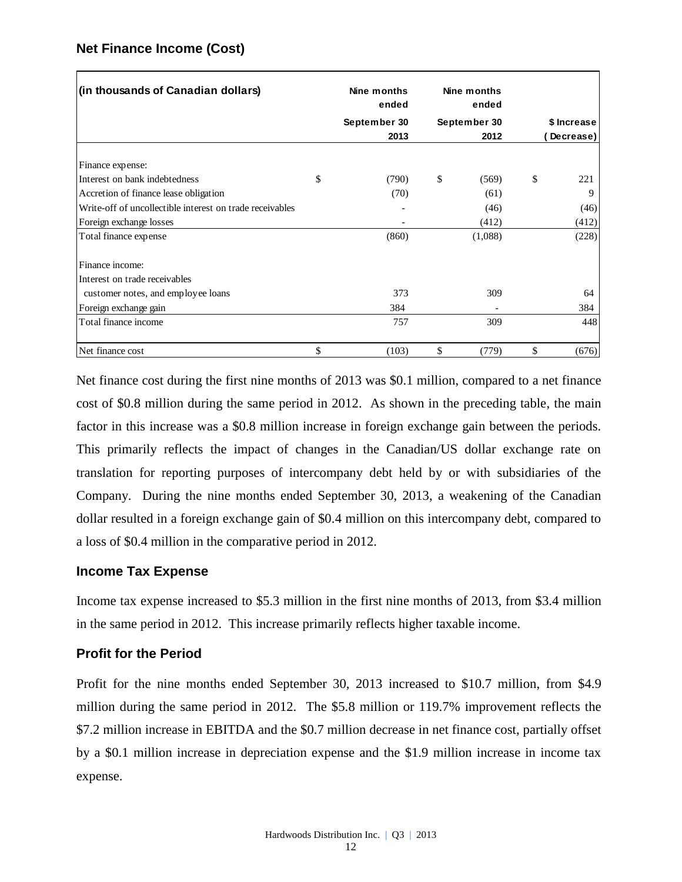### **Net Finance Income (Cost)**

| (in thousands of Canadian dollars)                       | Nine months<br>ended | Nine months<br>ended |             |
|----------------------------------------------------------|----------------------|----------------------|-------------|
|                                                          | September 30         | September 30         | \$ Increase |
|                                                          | 2013                 | 2012                 | Decrease)   |
| Finance expense:                                         |                      |                      |             |
| Interest on bank indebtedness                            | \$<br>(790)          | \$<br>(569)          | \$<br>221   |
| Accretion of finance lease obligation                    | (70)                 | (61)                 | 9           |
| Write-off of uncollectible interest on trade receivables |                      | (46)                 | (46)        |
| Foreign exchange losses                                  |                      | (412)                | (412)       |
| Total finance expense                                    | (860)                | (1,088)              | (228)       |
| Finance income:                                          |                      |                      |             |
| Interest on trade receivables                            |                      |                      |             |
| customer notes, and employee loans                       | 373                  | 309                  | 64          |
| Foreign exchange gain                                    | 384                  |                      | 384         |
| Total finance income                                     | 757                  | 309                  | 448         |
| Net finance cost                                         | \$<br>(103)          | \$<br>(779)          | \$<br>(676) |

Net finance cost during the first nine months of 2013 was \$0.1 million, compared to a net finance cost of \$0.8 million during the same period in 2012. As shown in the preceding table, the main factor in this increase was a \$0.8 million increase in foreign exchange gain between the periods. This primarily reflects the impact of changes in the Canadian/US dollar exchange rate on translation for reporting purposes of intercompany debt held by or with subsidiaries of the Company. During the nine months ended September 30, 2013, a weakening of the Canadian dollar resulted in a foreign exchange gain of \$0.4 million on this intercompany debt, compared to a loss of \$0.4 million in the comparative period in 2012.

#### **Income Tax Expense**

Income tax expense increased to \$5.3 million in the first nine months of 2013, from \$3.4 million in the same period in 2012. This increase primarily reflects higher taxable income.

#### **Profit for the Period**

Profit for the nine months ended September 30, 2013 increased to \$10.7 million, from \$4.9 million during the same period in 2012. The \$5.8 million or 119.7% improvement reflects the \$7.2 million increase in EBITDA and the \$0.7 million decrease in net finance cost, partially offset by a \$0.1 million increase in depreciation expense and the \$1.9 million increase in income tax expense.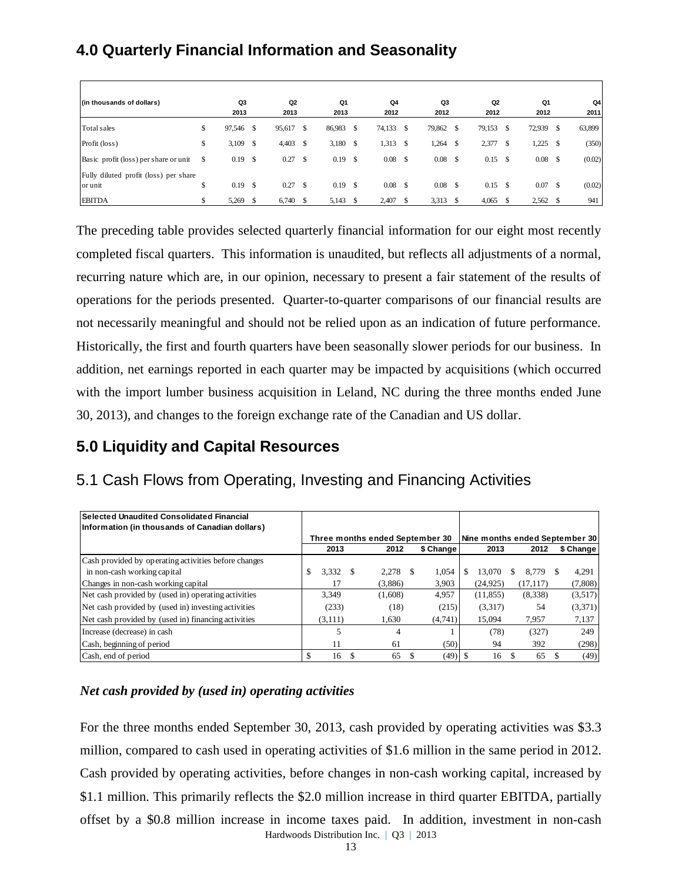# **4.0 Quarterly Financial Information and Seasonality**

| (in thousands of dollars)                        |    | Q3<br>2013 |               | Q2<br>2013 |               | Q1<br>2013 |               | Q4<br>2012 |      | Q3<br>2012        | Q <sub>2</sub><br>2012 |    | Q1<br>2012 |               | Q4<br>2011 |
|--------------------------------------------------|----|------------|---------------|------------|---------------|------------|---------------|------------|------|-------------------|------------------------|----|------------|---------------|------------|
| Total sales                                      | S  | 97,546     | <sup>\$</sup> | 95,617     | <sup>\$</sup> | 86,983     | S             | 74,133 \$  |      | 79,862 \$         | 79,153                 | S  | 72,939     | -S            | 63,899     |
| Profit (loss)                                    | \$ | 3,109      | <sup>\$</sup> | 4,403      | -S            | $3,180$ \$ |               | 1,313      | - \$ | $1,264$ \$        | 2,377                  | -S | 1,225      | <sup>\$</sup> | (350)      |
| Basic profit (loss) per share or unit            | S. | 0.19       | <sup>\$</sup> | 0.27       | \$            | 0.19       | <sup>\$</sup> | 0.08       | - \$ | $0.08 \quad$ \$   | $0.15$ \$              |    | 0.08       | S             | (0.02)     |
| Fully diluted profit (loss) per share<br>or unit | \$ | 0.19       | -\$           | 0.27       | -S            | 0.19       | <sup>\$</sup> | 0.08       | - \$ | 0.08 <sup>5</sup> | $0.15$ \$              |    | 0.07       | <sup>\$</sup> | (0.02)     |
| <b>EBITDA</b>                                    |    | 5,269      |               | 6,740      | -S            | 5,143      | -S            | 2,407      |      | 3,313 \$          | 4,065                  |    | 2,562      | S             | 941        |

The preceding table provides selected quarterly financial information for our eight most recently completed fiscal quarters. This information is unaudited, but reflects all adjustments of a normal, recurring nature which are, in our opinion, necessary to present a fair statement of the results of operations for the periods presented. Quarter-to-quarter comparisons of our financial results are not necessarily meaningful and should not be relied upon as an indication of future performance. Historically, the first and fourth quarters have been seasonally slower periods for our business. In addition, net earnings reported in each quarter may be impacted by acquisitions (which occurred with the import lumber business acquisition in Leland, NC during the three months ended June 30, 2013), and changes to the foreign exchange rate of the Canadian and US dollar. **Example 8.8** million increase in the method increase in the domain increase in the set of the method increase in the set of the method increase in the set of the set of the set of the set of the set of the set of the set

# **5.0 Liquidity and Capital Resources**

# 5.1 Cash Flows from Operating, Investing and Financing Activities

| l Selected Unaudited Consolidated Financial<br>Information (in thousands of Canadian dollars) |              |   |                                 |           |           |           |                                |
|-----------------------------------------------------------------------------------------------|--------------|---|---------------------------------|-----------|-----------|-----------|--------------------------------|
|                                                                                               |              |   | Three months ended September 30 |           |           |           | Nine months ended September 30 |
|                                                                                               | 2013         |   | 2012                            | \$ Change | 2013      | 2012      | \$ Change                      |
| Cash provided by operating activities before changes                                          |              |   |                                 |           |           |           |                                |
| in non-cash working capital                                                                   | 3.332<br>\$. | S | $2.278$ \$                      | 1,054     | 13,070    | 8.779     | 4,291                          |
| Changes in non-cash working capital                                                           | 17           |   | (3,886)                         | 3,903     | (24, 925) | (17, 117) | (7,808)                        |
| Net cash provided by (used in) operating activities                                           | 3.349        |   | (1,608)                         | 4,957     | (11, 855) | (8,338)   | (3,517)                        |
| Net cash provided by (used in) investing activities                                           | (233)        |   | (18)                            | (215)     | (3,317)   | 54        | (3,371)                        |
| Net cash provided by (used in) financing activities                                           | (3,111)      |   | 1,630                           | (4,741)   | 15.094    | 7,957     | 7,137                          |
| Increase (decrease) in cash                                                                   |              |   | 4                               |           | (78)      | (327)     | 249                            |
| Cash, beginning of period                                                                     | 11           |   | 61                              | (50)      | 94        | 392       | (298)                          |
| Cash, end of period                                                                           | \$.<br>16    |   | 65                              | $(49)$ \$ | 16        | 65        | (49)                           |

## *Net cash provided by (used in) operating activities*

Hardwoods Distribution Inc. | Q3 | 2013 For the three months ended September 30, 2013, cash provided by operating activities was \$3.3 million, compared to cash used in operating activities of \$1.6 million in the same period in 2012. Cash provided by operating activities, before changes in non-cash working capital, increased by \$1.1 million. This primarily reflects the \$2.0 million increase in third quarter EBITDA, partially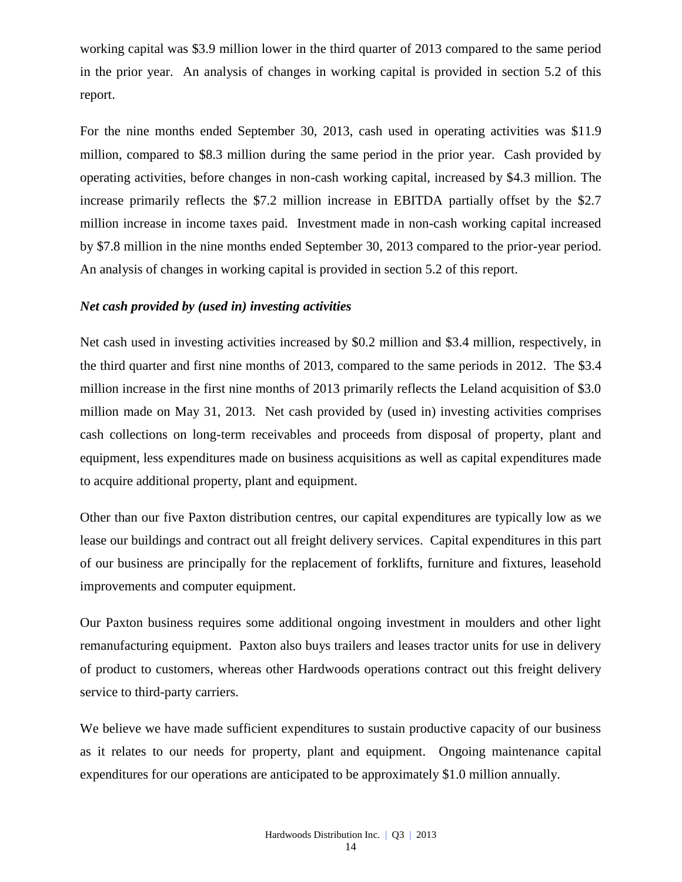working capital was \$3.9 million lower in the third quarter of 2013 compared to the same period in the prior year. An analysis of changes in working capital is provided in section 5.2 of this report.

For the nine months ended September 30, 2013, cash used in operating activities was \$11.9 million, compared to \$8.3 million during the same period in the prior year. Cash provided by operating activities, before changes in non-cash working capital, increased by \$4.3 million. The increase primarily reflects the \$7.2 million increase in EBITDA partially offset by the \$2.7 million increase in income taxes paid. Investment made in non-cash working capital increased by \$7.8 million in the nine months ended September 30, 2013 compared to the prior-year period. An analysis of changes in working capital is provided in section 5.2 of this report.

#### *Net cash provided by (used in) investing activities*

Net cash used in investing activities increased by \$0.2 million and \$3.4 million, respectively, in the third quarter and first nine months of 2013, compared to the same periods in 2012. The \$3.4 million increase in the first nine months of 2013 primarily reflects the Leland acquisition of \$3.0 million made on May 31, 2013. Net cash provided by (used in) investing activities comprises cash collections on long-term receivables and proceeds from disposal of property, plant and equipment, less expenditures made on business acquisitions as well as capital expenditures made to acquire additional property, plant and equipment.

Other than our five Paxton distribution centres, our capital expenditures are typically low as we lease our buildings and contract out all freight delivery services. Capital expenditures in this part of our business are principally for the replacement of forklifts, furniture and fixtures, leasehold improvements and computer equipment.

Our Paxton business requires some additional ongoing investment in moulders and other light remanufacturing equipment. Paxton also buys trailers and leases tractor units for use in delivery of product to customers, whereas other Hardwoods operations contract out this freight delivery service to third-party carriers.

We believe we have made sufficient expenditures to sustain productive capacity of our business as it relates to our needs for property, plant and equipment. Ongoing maintenance capital expenditures for our operations are anticipated to be approximately \$1.0 million annually.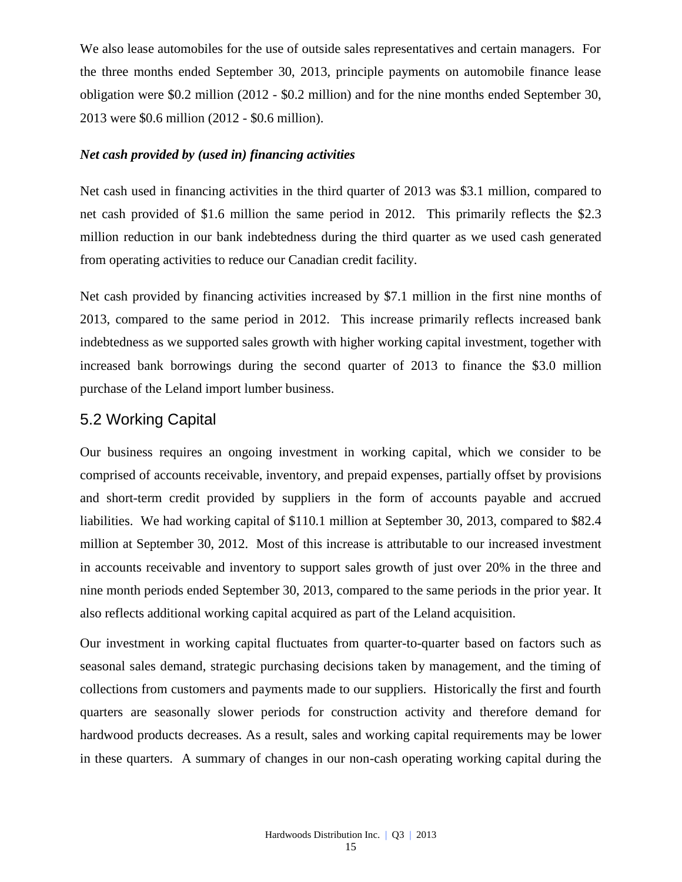We also lease automobiles for the use of outside sales representatives and certain managers. For the three months ended September 30, 2013, principle payments on automobile finance lease obligation were \$0.2 million (2012 - \$0.2 million) and for the nine months ended September 30, 2013 were \$0.6 million (2012 - \$0.6 million).

#### *Net cash provided by (used in) financing activities*

Net cash used in financing activities in the third quarter of 2013 was \$3.1 million, compared to net cash provided of \$1.6 million the same period in 2012. This primarily reflects the \$2.3 million reduction in our bank indebtedness during the third quarter as we used cash generated from operating activities to reduce our Canadian credit facility.

Net cash provided by financing activities increased by \$7.1 million in the first nine months of 2013, compared to the same period in 2012. This increase primarily reflects increased bank indebtedness as we supported sales growth with higher working capital investment, together with increased bank borrowings during the second quarter of 2013 to finance the \$3.0 million purchase of the Leland import lumber business.

# 5.2 Working Capital

Our business requires an ongoing investment in working capital, which we consider to be comprised of accounts receivable, inventory, and prepaid expenses, partially offset by provisions and short-term credit provided by suppliers in the form of accounts payable and accrued liabilities. We had working capital of \$110.1 million at September 30, 2013, compared to \$82.4 million at September 30, 2012. Most of this increase is attributable to our increased investment in accounts receivable and inventory to support sales growth of just over 20% in the three and nine month periods ended September 30, 2013, compared to the same periods in the prior year. It also reflects additional working capital acquired as part of the Leland acquisition.

Our investment in working capital fluctuates from quarter-to-quarter based on factors such as seasonal sales demand, strategic purchasing decisions taken by management, and the timing of collections from customers and payments made to our suppliers. Historically the first and fourth quarters are seasonally slower periods for construction activity and therefore demand for hardwood products decreases. As a result, sales and working capital requirements may be lower in these quarters. A summary of changes in our non-cash operating working capital during the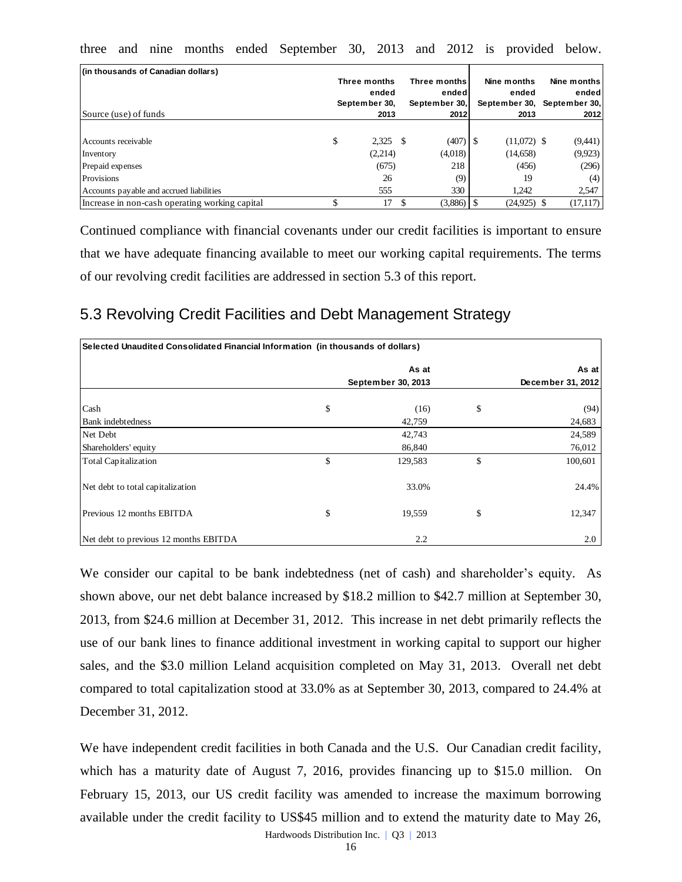|  |  |  |  |  | three and nine months ended September 30, 2013 and 2012 is provided below. |  |  |  |  |  |  |  |
|--|--|--|--|--|----------------------------------------------------------------------------|--|--|--|--|--|--|--|
|--|--|--|--|--|----------------------------------------------------------------------------|--|--|--|--|--|--|--|

| (in thousands of Canadian dollars)<br>Source (use) of funds | Three months<br>ended<br>September 30,<br>2013 | Three months<br>ended<br>September 30,<br>2012 | Nine months<br>ended<br>September 30, September 30,<br>2013 | Nine months<br>ended<br>2012 |
|-------------------------------------------------------------|------------------------------------------------|------------------------------------------------|-------------------------------------------------------------|------------------------------|
| Accounts receivable                                         | \$<br>$2,325$ \$                               | (407)                                          | $(11,072)$ \$                                               | (9,441)                      |
| Inventory                                                   | (2,214)                                        | (4,018)                                        | (14,658)                                                    | (9,923)                      |
| Prepaid expenses                                            | (675)                                          | 218                                            | (456)                                                       | (296)                        |
| Provisions                                                  | 26                                             | (9)                                            | 19                                                          | (4)                          |
| Accounts payable and accrued liabilities                    | 555                                            | 330                                            | 1.242                                                       | 2,547                        |
| Increase in non-cash operating working capital              | 17                                             | $(3,886)$ S                                    | $(24,925)$ \$                                               | (17, 117)                    |

Continued compliance with financial covenants under our credit facilities is important to ensure that we have adequate financing available to meet our working capital requirements. The terms of our revolving credit facilities are addressed in section 5.3 of this report.

# 5.3 Revolving Credit Facilities and Debt Management Strategy

| Selected Unaudited Consolidated Financial Information (in thousands of dollars) |    |                    |    |                   |  |  |
|---------------------------------------------------------------------------------|----|--------------------|----|-------------------|--|--|
|                                                                                 |    | As at              |    | As at             |  |  |
|                                                                                 |    | September 30, 2013 |    | December 31, 2012 |  |  |
| Cash                                                                            | \$ | (16)               | \$ | (94)              |  |  |
| <b>Bank</b> indebtedness                                                        |    | 42,759             |    | 24,683            |  |  |
| Net Debt                                                                        |    | 42,743             |    | 24,589            |  |  |
| Shareholders' equity                                                            |    | 86,840             |    | 76,012            |  |  |
| Total Capitalization                                                            | \$ | 129,583            | \$ | 100,601           |  |  |
| Net debt to total capitalization                                                |    | 33.0%              |    | 24.4%             |  |  |
| Previous 12 months EBITDA                                                       | \$ | 19,559             | \$ | 12,347            |  |  |
| Net debt to previous 12 months EBITDA                                           |    | 2.2                |    | 2.0               |  |  |

We consider our capital to be bank indebtedness (net of cash) and shareholder's equity. As shown above, our net debt balance increased by \$18.2 million to \$42.7 million at September 30, 2013, from \$24.6 million at December 31, 2012. This increase in net debt primarily reflects the use of our bank lines to finance additional investment in working capital to support our higher sales, and the \$3.0 million Leland acquisition completed on May 31, 2013. Overall net debt compared to total capitalization stood at 33.0% as at September 30, 2013, compared to 24.4% at December 31, 2012.

We have independent credit facilities in both Canada and the U.S. Our Canadian credit facility, which has a maturity date of August 7, 2016, provides financing up to \$15.0 million. On February 15, 2013, our US credit facility was amended to increase the maximum borrowing available under the credit facility to US\$45 million and to extend the maturity date to May 26,

Hardwoods Distribution Inc. | Q3 | 2013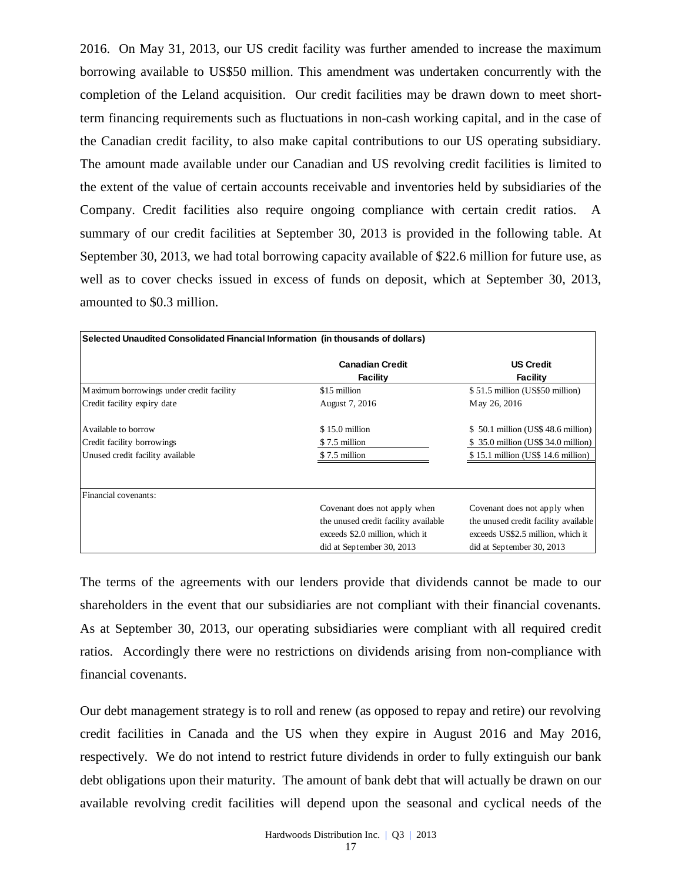2016. On May 31, 2013, our US credit facility was further amended to increase the maximum borrowing available to US\$50 million. This amendment was undertaken concurrently with the completion of the Leland acquisition. Our credit facilities may be drawn down to meet shortterm financing requirements such as fluctuations in non-cash working capital, and in the case of the Canadian credit facility, to also make capital contributions to our US operating subsidiary. The amount made available under our Canadian and US revolving credit facilities is limited to the extent of the value of certain accounts receivable and inventories held by subsidiaries of the Company. Credit facilities also require ongoing compliance with certain credit ratios. A summary of our credit facilities at September 30, 2013 is provided in the following table. At September 30, 2013, we had total borrowing capacity available of \$22.6 million for future use, as well as to cover checks issued in excess of funds on deposit, which at September 30, 2013, amounted to \$0.3 million.

|                                                                                                                                                                                                                                                                                                                                                                                                   | <b>Canadian Credit</b>               | <b>US Credit</b>                     |
|---------------------------------------------------------------------------------------------------------------------------------------------------------------------------------------------------------------------------------------------------------------------------------------------------------------------------------------------------------------------------------------------------|--------------------------------------|--------------------------------------|
|                                                                                                                                                                                                                                                                                                                                                                                                   | <b>Facility</b>                      | <b>Facility</b>                      |
| Maximum borrowings under credit facility                                                                                                                                                                                                                                                                                                                                                          | \$15 million                         | \$51.5 million (US\$50 million)      |
| Credit facility expiry date                                                                                                                                                                                                                                                                                                                                                                       | August 7, 2016                       | May 26, 2016                         |
| Available to borrow                                                                                                                                                                                                                                                                                                                                                                               | \$15.0 million                       | \$50.1 million (US\$48.6 million)    |
| Credit facility borrowings                                                                                                                                                                                                                                                                                                                                                                        | \$7.5 million                        | \$ 35.0 million (US\$ 34.0 million)  |
| Unused credit facility available                                                                                                                                                                                                                                                                                                                                                                  | \$7.5 million                        | \$15.1 million (US\$ 14.6 million)   |
| Financial covenants:                                                                                                                                                                                                                                                                                                                                                                              |                                      |                                      |
|                                                                                                                                                                                                                                                                                                                                                                                                   | Covenant does not apply when         | Covenant does not apply when         |
|                                                                                                                                                                                                                                                                                                                                                                                                   | the unused credit facility available | the unused credit facility available |
|                                                                                                                                                                                                                                                                                                                                                                                                   | exceeds \$2.0 million, which it      | exceeds US\$2.5 million, which it    |
|                                                                                                                                                                                                                                                                                                                                                                                                   | did at September 30, 2013            | did at September 30, 2013            |
| shareholders in the event that our subsidiaries are not compliant with their financial covenants.<br>As at September 30, 2013, our operating subsidiaries were compliant with all required credit<br>ratios. Accordingly there were no restrictions on dividends arising from non-compliance with                                                                                                 |                                      |                                      |
| financial covenants.                                                                                                                                                                                                                                                                                                                                                                              |                                      |                                      |
|                                                                                                                                                                                                                                                                                                                                                                                                   |                                      |                                      |
|                                                                                                                                                                                                                                                                                                                                                                                                   |                                      |                                      |
|                                                                                                                                                                                                                                                                                                                                                                                                   |                                      |                                      |
| Our debt management strategy is to roll and renew (as opposed to repay and retire) our revolving<br>credit facilities in Canada and the US when they expire in August 2016 and May 2016,<br>respectively. We do not intend to restrict future dividends in order to fully extinguish our bank<br>debt obligations upon their maturity. The amount of bank debt that will actually be drawn on our |                                      |                                      |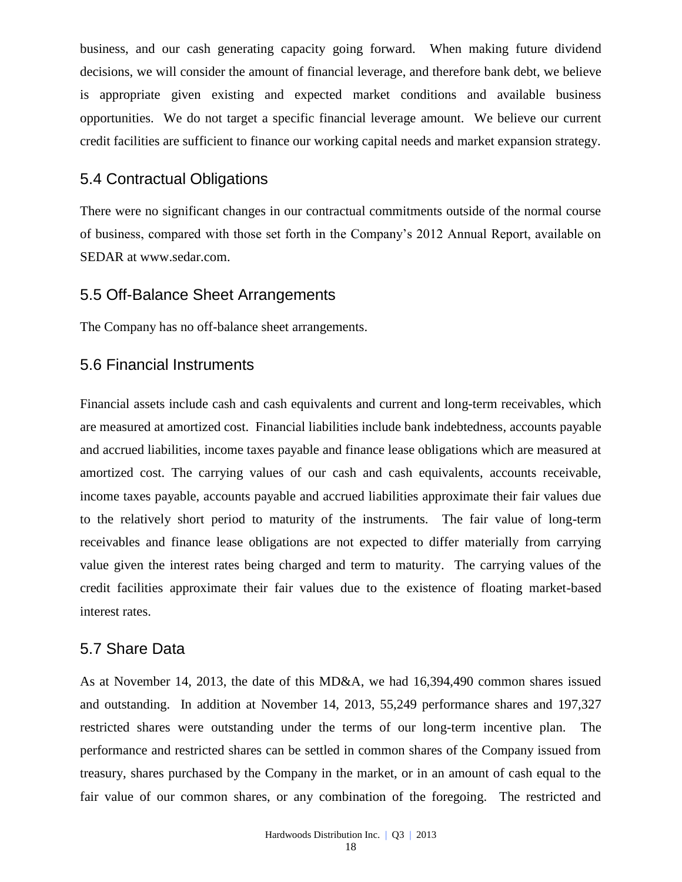business, and our cash generating capacity going forward. When making future dividend decisions, we will consider the amount of financial leverage, and therefore bank debt, we believe is appropriate given existing and expected market conditions and available business opportunities. We do not target a specific financial leverage amount. We believe our current credit facilities are sufficient to finance our working capital needs and market expansion strategy.

# 5.4 Contractual Obligations

There were no significant changes in our contractual commitments outside of the normal course of business, compared with those set forth in the Company's 2012 Annual Report, available on SEDAR at www.sedar.com.

## 5.5 Off-Balance Sheet Arrangements

The Company has no off-balance sheet arrangements.

# 5.6 Financial Instruments

Financial assets include cash and cash equivalents and current and long-term receivables, which are measured at amortized cost. Financial liabilities include bank indebtedness, accounts payable and accrued liabilities, income taxes payable and finance lease obligations which are measured at amortized cost. The carrying values of our cash and cash equivalents, accounts receivable, income taxes payable, accounts payable and accrued liabilities approximate their fair values due to the relatively short period to maturity of the instruments. The fair value of long-term receivables and finance lease obligations are not expected to differ materially from carrying value given the interest rates being charged and term to maturity. The carrying values of the credit facilities approximate their fair values due to the existence of floating market-based interest rates.

# 5.7 Share Data

As at November 14, 2013, the date of this MD&A, we had 16,394,490 common shares issued and outstanding. In addition at November 14, 2013, 55,249 performance shares and 197,327 restricted shares were outstanding under the terms of our long-term incentive plan. The performance and restricted shares can be settled in common shares of the Company issued from treasury, shares purchased by the Company in the market, or in an amount of cash equal to the fair value of our common shares, or any combination of the foregoing. The restricted and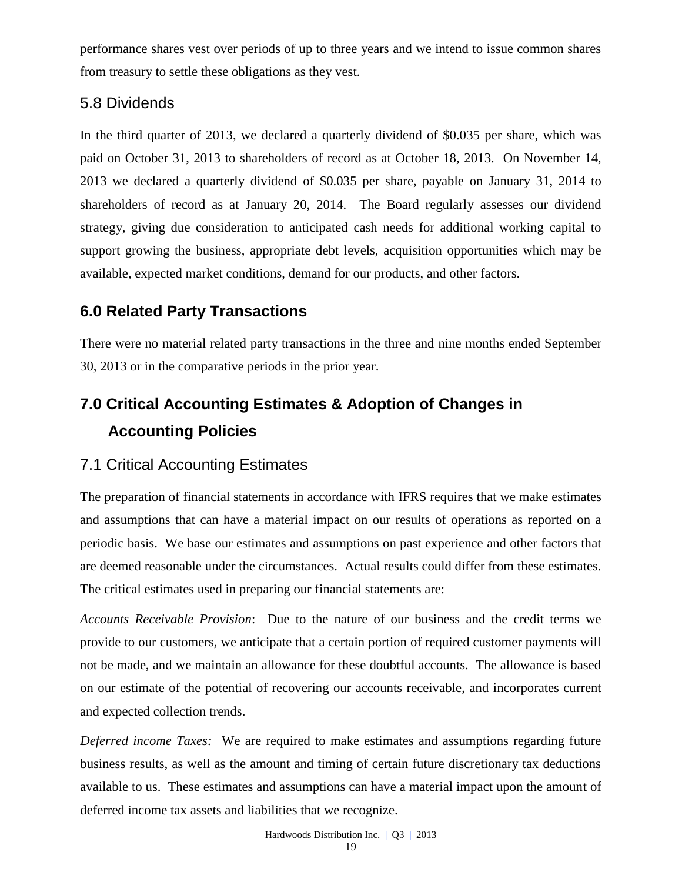performance shares vest over periods of up to three years and we intend to issue common shares from treasury to settle these obligations as they vest.

# 5.8 Dividends

In the third quarter of 2013, we declared a quarterly dividend of \$0.035 per share, which was paid on October 31, 2013 to shareholders of record as at October 18, 2013. On November 14, 2013 we declared a quarterly dividend of \$0.035 per share, payable on January 31, 2014 to shareholders of record as at January 20, 2014. The Board regularly assesses our dividend strategy, giving due consideration to anticipated cash needs for additional working capital to support growing the business, appropriate debt levels, acquisition opportunities which may be available, expected market conditions, demand for our products, and other factors.

# **6.0 Related Party Transactions**

There were no material related party transactions in the three and nine months ended September 30, 2013 or in the comparative periods in the prior year.

# **7.0 Critical Accounting Estimates & Adoption of Changes in Accounting Policies**

# 7.1 Critical Accounting Estimates

The preparation of financial statements in accordance with IFRS requires that we make estimates and assumptions that can have a material impact on our results of operations as reported on a periodic basis. We base our estimates and assumptions on past experience and other factors that are deemed reasonable under the circumstances. Actual results could differ from these estimates. The critical estimates used in preparing our financial statements are:

*Accounts Receivable Provision*: Due to the nature of our business and the credit terms we provide to our customers, we anticipate that a certain portion of required customer payments will not be made, and we maintain an allowance for these doubtful accounts. The allowance is based on our estimate of the potential of recovering our accounts receivable, and incorporates current and expected collection trends.

*Deferred income Taxes:* We are required to make estimates and assumptions regarding future business results, as well as the amount and timing of certain future discretionary tax deductions available to us. These estimates and assumptions can have a material impact upon the amount of deferred income tax assets and liabilities that we recognize.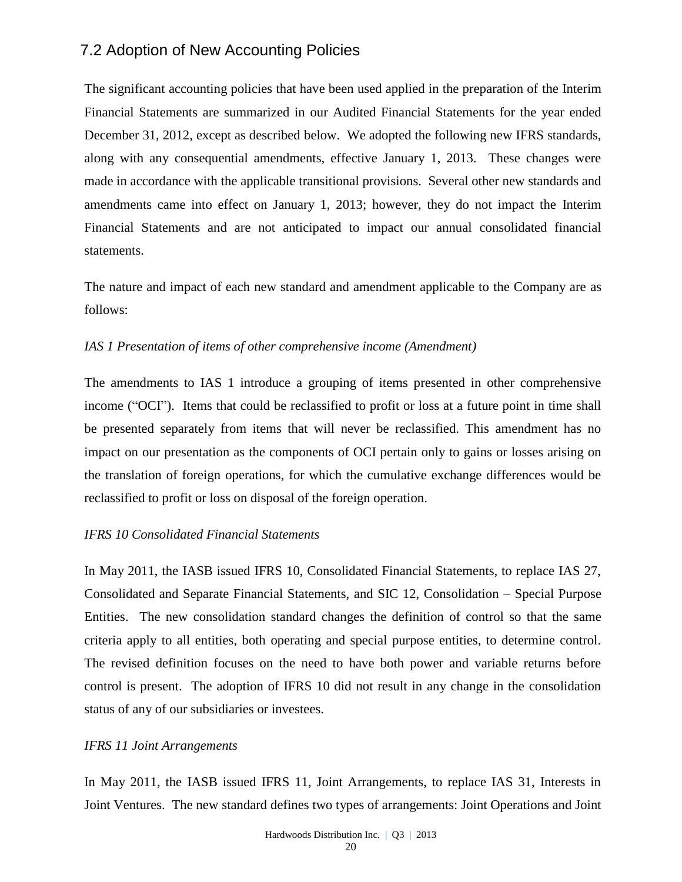# 7.2 Adoption of New Accounting Policies

The significant accounting policies that have been used applied in the preparation of the Interim Financial Statements are summarized in our Audited Financial Statements for the year ended December 31, 2012, except as described below. We adopted the following new IFRS standards, along with any consequential amendments, effective January 1, 2013. These changes were made in accordance with the applicable transitional provisions. Several other new standards and amendments came into effect on January 1, 2013; however, they do not impact the Interim Financial Statements and are not anticipated to impact our annual consolidated financial statements.

The nature and impact of each new standard and amendment applicable to the Company are as follows:

#### *IAS 1 Presentation of items of other comprehensive income (Amendment)*

The amendments to IAS 1 introduce a grouping of items presented in other comprehensive income ("OCI"). Items that could be reclassified to profit or loss at a future point in time shall be presented separately from items that will never be reclassified. This amendment has no impact on our presentation as the components of OCI pertain only to gains or losses arising on the translation of foreign operations, for which the cumulative exchange differences would be reclassified to profit or loss on disposal of the foreign operation.

#### *IFRS 10 Consolidated Financial Statements*

In May 2011, the IASB issued IFRS 10, Consolidated Financial Statements, to replace IAS 27, Consolidated and Separate Financial Statements, and SIC 12, Consolidation – Special Purpose Entities. The new consolidation standard changes the definition of control so that the same criteria apply to all entities, both operating and special purpose entities, to determine control. The revised definition focuses on the need to have both power and variable returns before control is present. The adoption of IFRS 10 did not result in any change in the consolidation status of any of our subsidiaries or investees.

#### *IFRS 11 Joint Arrangements*

In May 2011, the IASB issued IFRS 11, Joint Arrangements, to replace IAS 31, Interests in Joint Ventures. The new standard defines two types of arrangements: Joint Operations and Joint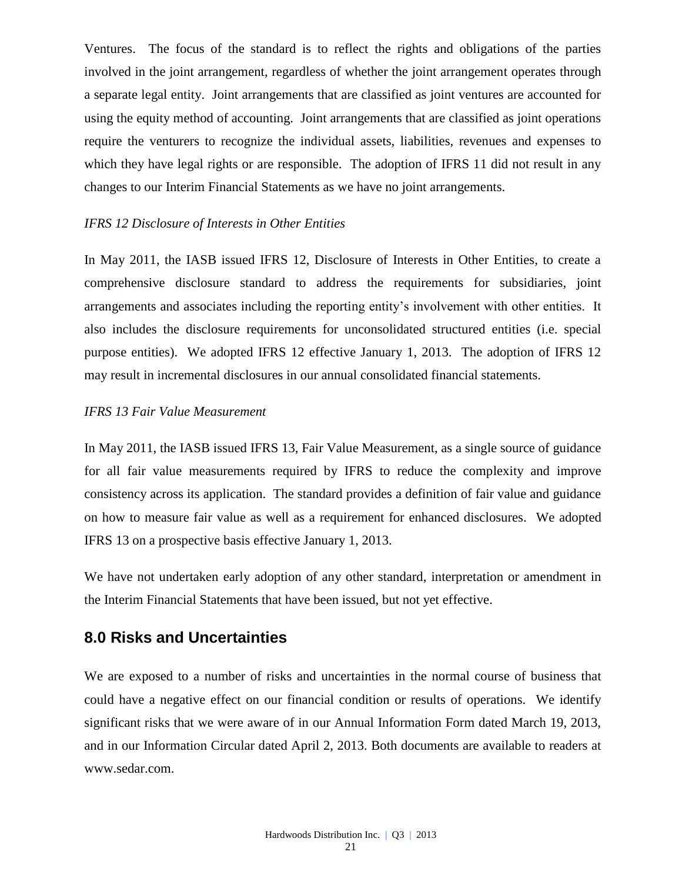Ventures. The focus of the standard is to reflect the rights and obligations of the parties involved in the joint arrangement, regardless of whether the joint arrangement operates through a separate legal entity. Joint arrangements that are classified as joint ventures are accounted for using the equity method of accounting. Joint arrangements that are classified as joint operations require the venturers to recognize the individual assets, liabilities, revenues and expenses to which they have legal rights or are responsible. The adoption of IFRS 11 did not result in any changes to our Interim Financial Statements as we have no joint arrangements.

#### *IFRS 12 Disclosure of Interests in Other Entities*

In May 2011, the IASB issued IFRS 12, Disclosure of Interests in Other Entities, to create a comprehensive disclosure standard to address the requirements for subsidiaries, joint arrangements and associates including the reporting entity's involvement with other entities. It also includes the disclosure requirements for unconsolidated structured entities (i.e. special purpose entities). We adopted IFRS 12 effective January 1, 2013. The adoption of IFRS 12 may result in incremental disclosures in our annual consolidated financial statements.

#### *IFRS 13 Fair Value Measurement*

In May 2011, the IASB issued IFRS 13, Fair Value Measurement, as a single source of guidance for all fair value measurements required by IFRS to reduce the complexity and improve consistency across its application. The standard provides a definition of fair value and guidance on how to measure fair value as well as a requirement for enhanced disclosures. We adopted IFRS 13 on a prospective basis effective January 1, 2013.

We have not undertaken early adoption of any other standard, interpretation or amendment in the Interim Financial Statements that have been issued, but not yet effective.

## **8.0 Risks and Uncertainties**

We are exposed to a number of risks and uncertainties in the normal course of business that could have a negative effect on our financial condition or results of operations. We identify significant risks that we were aware of in our Annual Information Form dated March 19, 2013, and in our Information Circular dated April 2, 2013. Both documents are available to readers at [www.sedar.com.](http://www.sedar.com/)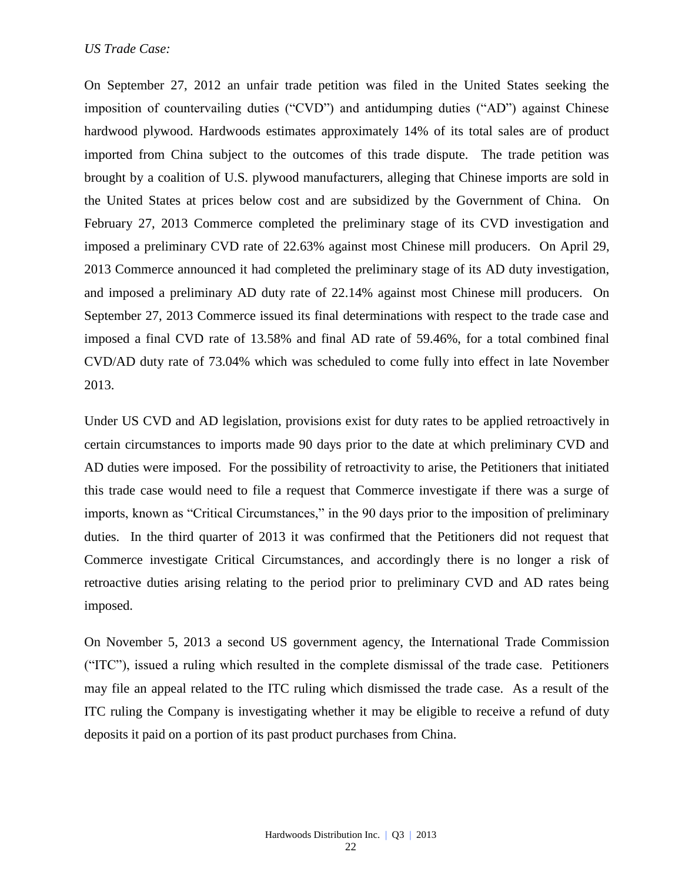#### *US Trade Case:*

On September 27, 2012 an unfair trade petition was filed in the United States seeking the imposition of countervailing duties ("CVD") and antidumping duties ("AD") against Chinese hardwood plywood. Hardwoods estimates approximately 14% of its total sales are of product imported from China subject to the outcomes of this trade dispute. The trade petition was brought by a coalition of U.S. plywood manufacturers, alleging that Chinese imports are sold in the United States at prices below cost and are subsidized by the Government of China. On February 27, 2013 Commerce completed the preliminary stage of its CVD investigation and imposed a preliminary CVD rate of 22.63% against most Chinese mill producers. On April 29, 2013 Commerce announced it had completed the preliminary stage of its AD duty investigation, and imposed a preliminary AD duty rate of 22.14% against most Chinese mill producers. On September 27, 2013 Commerce issued its final determinations with respect to the trade case and imposed a final CVD rate of 13.58% and final AD rate of 59.46%, for a total combined final CVD/AD duty rate of 73.04% which was scheduled to come fully into effect in late November 2013.

Under US CVD and AD legislation, provisions exist for duty rates to be applied retroactively in certain circumstances to imports made 90 days prior to the date at which preliminary CVD and AD duties were imposed. For the possibility of retroactivity to arise, the Petitioners that initiated this trade case would need to file a request that Commerce investigate if there was a surge of imports, known as "Critical Circumstances," in the 90 days prior to the imposition of preliminary duties. In the third quarter of 2013 it was confirmed that the Petitioners did not request that Commerce investigate Critical Circumstances, and accordingly there is no longer a risk of retroactive duties arising relating to the period prior to preliminary CVD and AD rates being imposed.

On November 5, 2013 a second US government agency, the International Trade Commission ("ITC"), issued a ruling which resulted in the complete dismissal of the trade case. Petitioners may file an appeal related to the ITC ruling which dismissed the trade case. As a result of the ITC ruling the Company is investigating whether it may be eligible to receive a refund of duty deposits it paid on a portion of its past product purchases from China.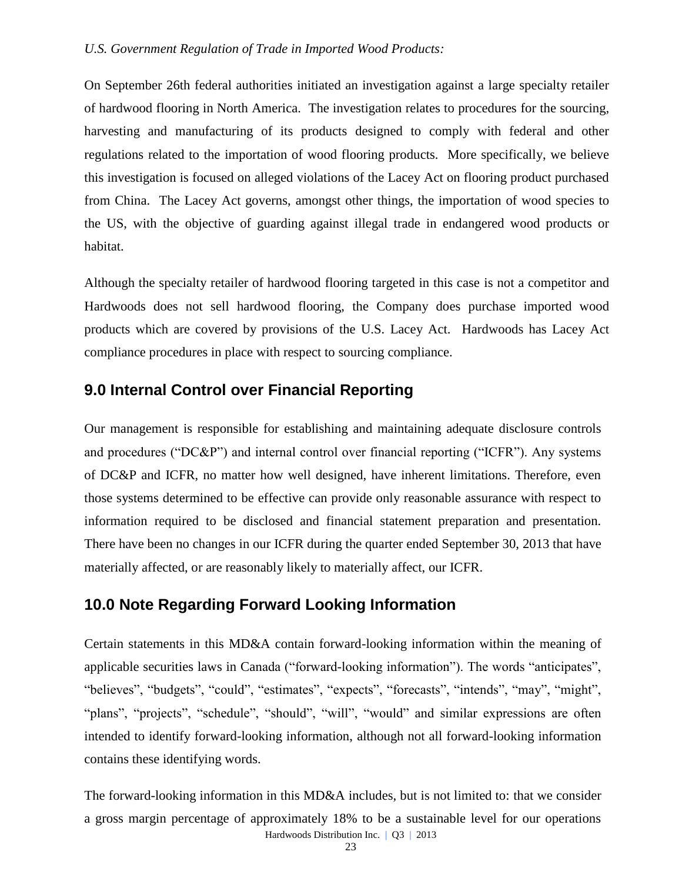#### *U.S. Government Regulation of Trade in Imported Wood Products:*

On September 26th federal authorities initiated an investigation against a large specialty retailer of hardwood flooring in North America. The investigation relates to procedures for the sourcing, harvesting and manufacturing of its products designed to comply with federal and other regulations related to the importation of wood flooring products. More specifically, we believe this investigation is focused on alleged violations of the Lacey Act on flooring product purchased from China. The Lacey Act governs, amongst other things, the importation of wood species to the US, with the objective of guarding against illegal trade in endangered wood products or habitat.

Although the specialty retailer of hardwood flooring targeted in this case is not a competitor and Hardwoods does not sell hardwood flooring, the Company does purchase imported wood products which are covered by provisions of the U.S. Lacey Act. Hardwoods has Lacey Act compliance procedures in place with respect to sourcing compliance.

# **9.0 Internal Control over Financial Reporting**

Our management is responsible for establishing and maintaining adequate disclosure controls and procedures ("DC&P") and internal control over financial reporting ("ICFR"). Any systems of DC&P and ICFR, no matter how well designed, have inherent limitations. Therefore, even those systems determined to be effective can provide only reasonable assurance with respect to information required to be disclosed and financial statement preparation and presentation. There have been no changes in our ICFR during the quarter ended September 30, 2013 that have materially affected, or are reasonably likely to materially affect, our ICFR.

## **10.0 Note Regarding Forward Looking Information**

Certain statements in this MD&A contain forward-looking information within the meaning of applicable securities laws in Canada ("forward-looking information"). The words "anticipates", "believes", "budgets", "could", "estimates", "expects", "forecasts", "intends", "may", "might", "plans", "projects", "schedule", "should", "will", "would" and similar expressions are often intended to identify forward-looking information, although not all forward-looking information contains these identifying words.

Hardwoods Distribution Inc. | Q3 | 2013 The forward-looking information in this MD&A includes, but is not limited to: that we consider a gross margin percentage of approximately 18% to be a sustainable level for our operations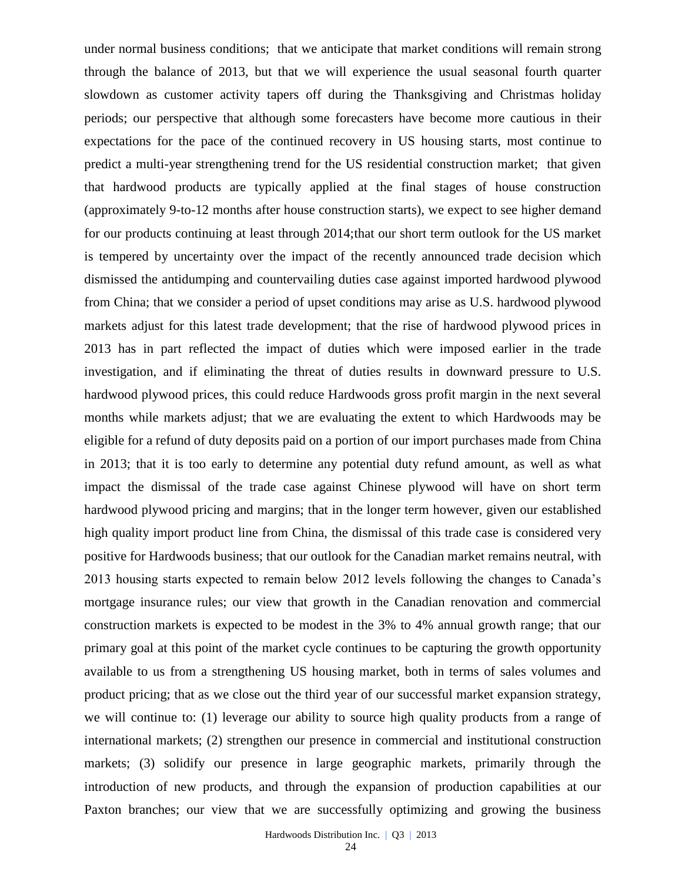under normal business conditions; that we anticipate that market conditions will remain strong through the balance of 2013, but that we will experience the usual seasonal fourth quarter slowdown as customer activity tapers off during the Thanksgiving and Christmas holiday periods; our perspective that although some forecasters have become more cautious in their expectations for the pace of the continued recovery in US housing starts, most continue to predict a multi-year strengthening trend for the US residential construction market; that given that hardwood products are typically applied at the final stages of house construction (approximately 9-to-12 months after house construction starts), we expect to see higher demand for our products continuing at least through 2014;that our short term outlook for the US market is tempered by uncertainty over the impact of the recently announced trade decision which dismissed the antidumping and countervailing duties case against imported hardwood plywood from China; that we consider a period of upset conditions may arise as U.S. hardwood plywood markets adjust for this latest trade development; that the rise of hardwood plywood prices in 2013 has in part reflected the impact of duties which were imposed earlier in the trade investigation, and if eliminating the threat of duties results in downward pressure to U.S. hardwood plywood prices, this could reduce Hardwoods gross profit margin in the next several months while markets adjust; that we are evaluating the extent to which Hardwoods may be eligible for a refund of duty deposits paid on a portion of our import purchases made from China in 2013; that it is too early to determine any potential duty refund amount, as well as what impact the dismissal of the trade case against Chinese plywood will have on short term hardwood plywood pricing and margins; that in the longer term however, given our established high quality import product line from China, the dismissal of this trade case is considered very positive for Hardwoods business; that our outlook for the Canadian market remains neutral, with 2013 housing starts expected to remain below 2012 levels following the changes to Canada's mortgage insurance rules; our view that growth in the Canadian renovation and commercial construction markets is expected to be modest in the 3% to 4% annual growth range; that our primary goal at this point of the market cycle continues to be capturing the growth opportunity available to us from a strengthening US housing market, both in terms of sales volumes and product pricing; that as we close out the third year of our successful market expansion strategy, we will continue to: (1) leverage our ability to source high quality products from a range of international markets; (2) strengthen our presence in commercial and institutional construction markets; (3) solidify our presence in large geographic markets, primarily through the introduction of new products, and through the expansion of production capabilities at our Paxton branches; our view that we are successfully optimizing and growing the business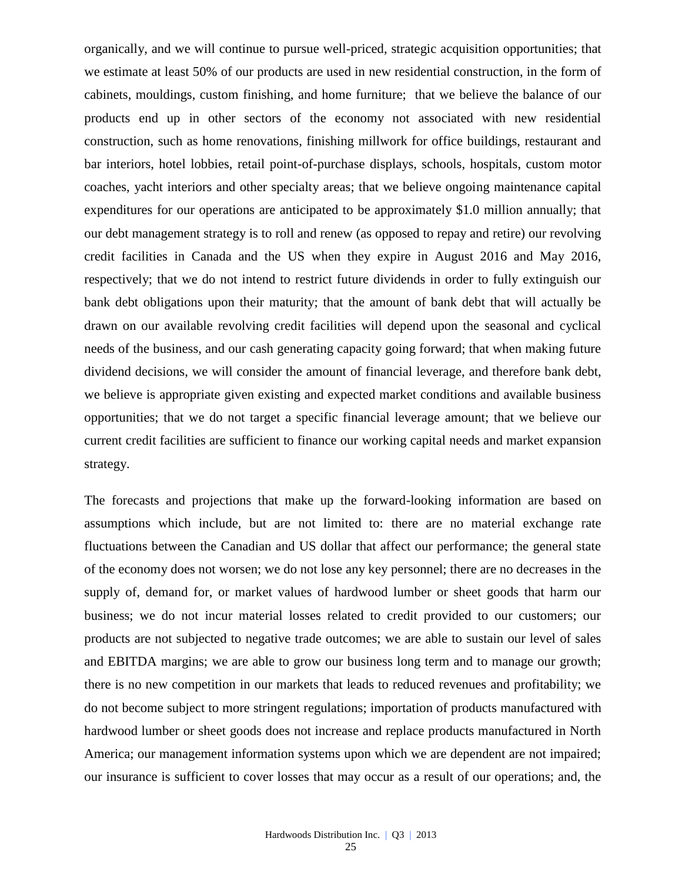organically, and we will continue to pursue well-priced, strategic acquisition opportunities; that we estimate at least 50% of our products are used in new residential construction, in the form of cabinets, mouldings, custom finishing, and home furniture; that we believe the balance of our products end up in other sectors of the economy not associated with new residential construction, such as home renovations, finishing millwork for office buildings, restaurant and bar interiors, hotel lobbies, retail point-of-purchase displays, schools, hospitals, custom motor coaches, yacht interiors and other specialty areas; that we believe ongoing maintenance capital expenditures for our operations are anticipated to be approximately \$1.0 million annually; that our debt management strategy is to roll and renew (as opposed to repay and retire) our revolving credit facilities in Canada and the US when they expire in August 2016 and May 2016, respectively; that we do not intend to restrict future dividends in order to fully extinguish our bank debt obligations upon their maturity; that the amount of bank debt that will actually be drawn on our available revolving credit facilities will depend upon the seasonal and cyclical needs of the business, and our cash generating capacity going forward; that when making future dividend decisions, we will consider the amount of financial leverage, and therefore bank debt, we believe is appropriate given existing and expected market conditions and available business opportunities; that we do not target a specific financial leverage amount; that we believe our current credit facilities are sufficient to finance our working capital needs and market expansion strategy.

The forecasts and projections that make up the forward-looking information are based on assumptions which include, but are not limited to: there are no material exchange rate fluctuations between the Canadian and US dollar that affect our performance; the general state of the economy does not worsen; we do not lose any key personnel; there are no decreases in the supply of, demand for, or market values of hardwood lumber or sheet goods that harm our business; we do not incur material losses related to credit provided to our customers; our products are not subjected to negative trade outcomes; we are able to sustain our level of sales and EBITDA margins; we are able to grow our business long term and to manage our growth; there is no new competition in our markets that leads to reduced revenues and profitability; we do not become subject to more stringent regulations; importation of products manufactured with hardwood lumber or sheet goods does not increase and replace products manufactured in North America; our management information systems upon which we are dependent are not impaired; our insurance is sufficient to cover losses that may occur as a result of our operations; and, the